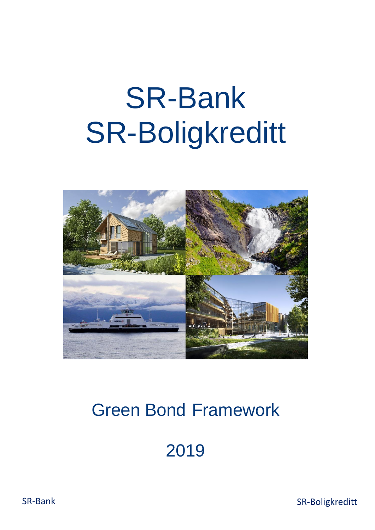# SR-Bank SR-Boligkreditt



# Green Bond Framework

2019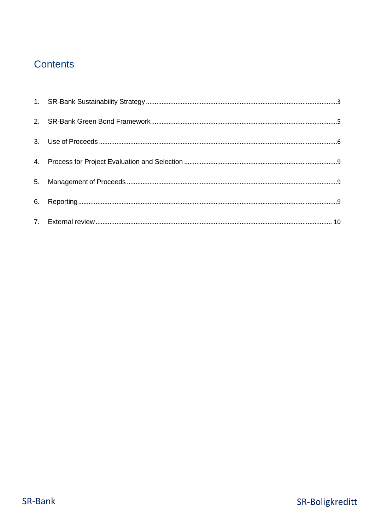# **Contents**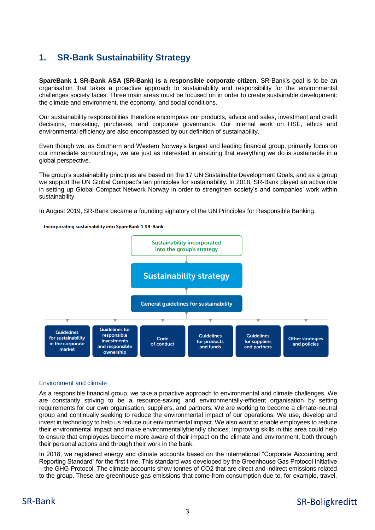# <span id="page-2-0"></span>**1. SR-Bank Sustainability Strategy**

**SpareBank 1 SR-Bank ASA (SR-Bank) is a responsible corporate citizen**. SR-Bank's goal is to be an organisation that takes a proactive approach to sustainability and responsibility for the environmental challenges society faces. Three main areas must be focused on in order to create sustainable development: the climate and environment, the economy, and social conditions.

Our sustainability responsibilities therefore encompass our products, advice and sales, investment and credit decisions, marketing, purchases, and corporate governance. Our internal work on HSE, ethics and environmental efficiency are also encompassed by our definition of sustainability.

Even though we, as Southern and Western Norway's largest and leading financial group, primarily focus on our immediate surroundings, we are just as interested in ensuring that everything we do is sustainable in a global perspective.

The group's sustainability principles are based on the 17 UN Sustainable Development Goals, and as a group we support the UN Global Compact's ten principles for sustainability. In 2018, SR-Bank played an active role in setting up Global Compact Network Norway in order to strengthen society's and companies' work within sustainability.

In August 2019, SR-Bank became a founding signatory of the UN Principles for Responsible Banking.





#### Environment and climate

As a responsible financial group, we take a proactive approach to environmental and climate challenges. We are constantly striving to be a resource-saving and environmentally-efficient organisation by setting requirements for our own organisation, suppliers, and partners. We are working to become a climate-neutral group and continually seeking to reduce the environmental impact of our operations. We use, develop and invest in technology to help us reduce our environmental impact. We also want to enable employees to reduce their environmental impact and make environmentallyfriendly choices. Improving skills in this area could help to ensure that employees become more aware of their impact on the climate and environment, both through their personal actions and through their work in the bank.

In 2018, we registered energy and climate accounts based on the international "Corporate Accounting and Reporting Standard" for the first time. This standard was developed by the Greenhouse Gas Protocol Initiative – the GHG Protocol. The climate accounts show tonnes of CO2 that are direct and indirect emissions related to the group. These are greenhouse gas emissions that come from consumption due to, for example, travel,

# SR-Bank SR-Boligkreditt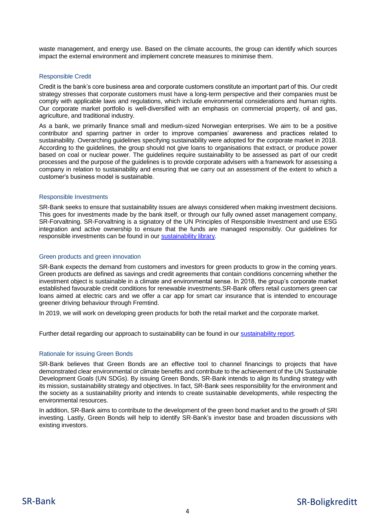waste management, and energy use. Based on the climate accounts, the group can identify which sources impact the external environment and implement concrete measures to minimise them.

#### Responsible Credit

Credit is the bank's core business area and corporate customers constitute an important part of this. Our credit strategy stresses that corporate customers must have a long-term perspective and their companies must be comply with applicable laws and regulations, which include environmental considerations and human rights. Our corporate market portfolio is well-diversified with an emphasis on commercial property, oil and gas, agriculture, and traditional industry.

As a bank, we primarily finance small and medium-sized Norwegian enterprises. We aim to be a positive contributor and sparring partner in order to improve companies' awareness and practices related to sustainability. Overarching guidelines specifying sustainability were adopted for the corporate market in 2018. According to the guidelines, the group should not give loans to organisations that extract, or produce power based on coal or nuclear power. The guidelines require sustainability to be assessed as part of our credit processes and the purpose of the guidelines is to provide corporate advisers with a framework for assessing a company in relation to sustainability and ensuring that we carry out an assessment of the extent to which a customer's business model is sustainable.

#### Responsible Investments

SR-Bank seeks to ensure that sustainability issues are always considered when making investment decisions. This goes for investments made by the bank itself, or through our fully owned asset management company, SR-Forvaltning. SR-Forvaltning is a signatory of the UN Principles of Responsible Investment and use ESG integration and active ownership to ensure that the funds are managed responsibly. Our guidelines for responsible investments can be found in our **sustainability library**.

#### Green products and green innovation

SR-Bank expects the demand from customers and investors for green products to grow in the coming years. Green products are defined as savings and credit agreements that contain conditions concerning whether the investment object is sustainable in a climate and environmental sense. In 2018, the group's corporate market established favourable credit conditions for renewable investments.SR-Bank offers retail customers green car loans aimed at electric cars and we offer a car app for smart car insurance that is intended to encourage greener driving behaviour through Fremtind.

In 2019, we will work on developing green products for both the retail market and the corporate market.

Further detail regarding our approach to sustainability can be found in our [sustainability report.](https://www.sparebank1.no/content/dam/SB1/bank/sr-bank/om-oss/Investor/Rapporter/2018/4-kvartal/Sustainabilityreport2018.pdf)

#### Rationale for issuing Green Bonds

SR-Bank believes that Green Bonds are an effective tool to channel financings to projects that have demonstrated clear environmental or climate benefits and contribute to the achievement of the UN Sustainable Development Goals (UN SDGs). By issuing Green Bonds, SR-Bank intends to align its funding strategy with its mission, sustainability strategy and objectives. In fact, SR-Bank sees responsibility for the environment and the society as a sustainability priority and intends to create sustainable developments, while respecting the environmental resources.

In addition, SR-Bank aims to contribute to the development of the green bond market and to the growth of SRI investing. Lastly, Green Bonds will help to identify SR-Bank's investor base and broaden discussions with existing investors.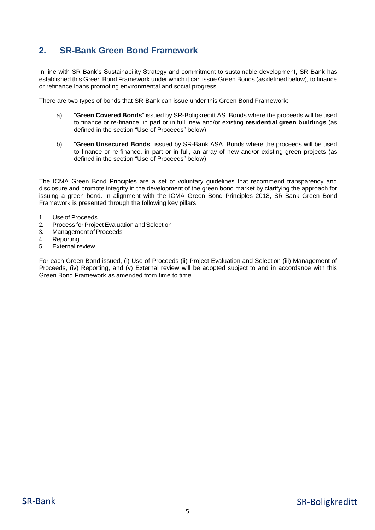# <span id="page-4-0"></span>**2. SR-Bank Green Bond Framework**

In line with SR-Bank's Sustainability Strategy and commitment to sustainable development, SR-Bank has established this Green Bond Framework under which it can issue Green Bonds (as defined below), to finance or refinance loans promoting environmental and social progress.

There are two types of bonds that SR-Bank can issue under this Green Bond Framework:

- a) "**Green Covered Bonds**" issued by SR-Boligkreditt AS. Bonds where the proceeds will be used to finance or re-finance, in part or in full, new and/or existing **residential green buildings** (as defined in the section "Use of Proceeds" below)
- b) "**Green Unsecured Bonds**" issued by SR-Bank ASA. Bonds where the proceeds will be used to finance or re-finance, in part or in full, an array of new and/or existing green projects (as defined in the section "Use of Proceeds" below)

The ICMA Green Bond Principles are a set of voluntary guidelines that recommend transparency and disclosure and promote integrity in the development of the green bond market by clarifying the approach for issuing a green bond. In alignment with the ICMA Green Bond Principles 2018, SR-Bank Green Bond Framework is presented through the following key pillars:

- 1. Use of Proceeds
- 2. Process for Project Evaluation and Selection
- 3. Management of Proceeds<br>4 Reporting
- **Reporting**
- 5. External review

For each Green Bond issued, (i) Use of Proceeds (ii) Project Evaluation and Selection (iii) Management of Proceeds, (iv) Reporting, and (v) External review will be adopted subject to and in accordance with this Green Bond Framework as amended from time to time.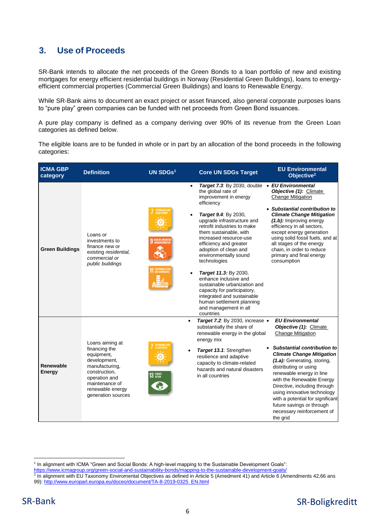# <span id="page-5-0"></span>**3. Use of Proceeds**

SR-Bank intends to allocate the net proceeds of the Green Bonds to a loan portfolio of new and existing mortgages for energy efficient residential buildings in Norway (Residential Green Buildings), loans to energyefficient commercial properties (Commercial Green Buildings) and loans to Renewable Energy.

While SR-Bank aims to document an exact project or asset financed, also general corporate purposes loans to "pure play" green companies can be funded with net proceeds from Green Bond issuances.

A pure play company is defined as a company deriving over 90% of its revenue from the Green Loan categories as defined below.

The eligible loans are to be funded in whole or in part by an allocation of the bond proceeds in the following categories:

| <b>ICMA GBP</b><br>category | <b>Definition</b>                                                                                                                                                              | UN SDGs1                                                             | <b>Core UN SDGs Target</b>                                                                                                                                                                                                                                                                                                                                                                                                                                                                                                                                         | <b>EU Environmental</b><br>Objective <sup>2</sup>                                                                                                                                                                                                                                                                                                                                                                                           |
|-----------------------------|--------------------------------------------------------------------------------------------------------------------------------------------------------------------------------|----------------------------------------------------------------------|--------------------------------------------------------------------------------------------------------------------------------------------------------------------------------------------------------------------------------------------------------------------------------------------------------------------------------------------------------------------------------------------------------------------------------------------------------------------------------------------------------------------------------------------------------------------|---------------------------------------------------------------------------------------------------------------------------------------------------------------------------------------------------------------------------------------------------------------------------------------------------------------------------------------------------------------------------------------------------------------------------------------------|
| <b>Green Buildings</b>      | Loans or<br>investments to<br>finance new or<br>existing residential,<br>commercial or<br>public buildings                                                                     | $\bullet$<br>INDUSTRY, INNOVATI<br>AND INFRASTRUCTU                  | Target 7.3: By 2030, double . EU Environmental<br>the global rate of<br>improvement in energy<br>efficiency<br>Target 9.4: By 2030,<br>upgrade infrastructure and<br>retrofit industries to make<br>them sustainable, with<br>increased resource-use<br>efficiency and greater<br>adoption of clean and<br>environmentally sound<br>technologies<br>Target 11.3: By 2030,<br>enhance inclusive and<br>sustainable urbanization and<br>capacity for participatory,<br>integrated and sustainable<br>human settlement planning<br>and management in all<br>countries | Objective (1): Climate<br><b>Change Mitigation</b><br>• Substantial contribution to<br><b>Climate Change Mitigation</b><br>(1.b): Improving energy<br>efficiency in all sectors,<br>except energy generation<br>using solid fossil fuels, and at<br>all stages of the energy<br>chain, in order to reduce<br>primary and final energy<br>consumption                                                                                        |
| Renewable<br>Energy         | Loans aiming at<br>financing the<br>equipment,<br>development,<br>manufacturing,<br>construction,<br>operation and<br>maintenance of<br>renewable energy<br>generation sources | $\bullet$<br><b>CLEANED</b><br>$\bullet$<br><b>CLIMATE</b><br>ACTION | Target 7.2: By 2030, increase .<br>substantially the share of<br>renewable energy in the global<br>energy mix<br>Target 13.1: Strengthen<br>resilience and adaptive<br>capacity to climate-related<br>hazards and natural disasters<br>in all countries                                                                                                                                                                                                                                                                                                            | <b>EU Environmental</b><br>Objective (1): Climate<br><b>Change Mitigation</b><br>Substantial contribution to<br><b>Climate Change Mitigation</b><br>(1.a): Generating, storing,<br>distributing or using<br>renewable energy in line<br>with the Renewable Energy<br>Directive, including through<br>using innovative technology<br>with a potential for significant<br>future savings or through<br>necessary reinforcement of<br>the grid |

1

<sup>&</sup>lt;sup>1</sup> In alignment with ICMA "Green and Social Bonds: A high-level mapping to the Sustainable Development Goals":

<sup>&</sup>lt;u>https://www.icmagroup.org/green-social-and-sustainability-bonds/mapping-to-the-sustainable-development-goals/</u><br><sup>2</sup> In alignment with EU Taxonomy Enviromental Objectives as defined in Article 5 (Amedment 41) and Article 6

<sup>99):</sup> [http://www.europarl.europa.eu/doceo/document/TA-8-2019-0325\\_EN.html](http://www.europarl.europa.eu/doceo/document/TA-8-2019-0325_EN.html)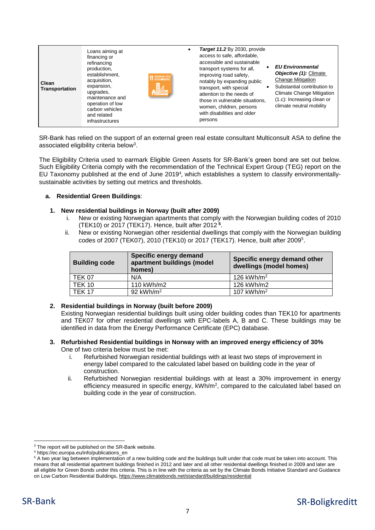| Clean<br><b>Transportation</b> | Loans aiming at<br>financing or<br>refinancing<br>production,<br>establishment,<br>acquisition,<br>expansion,<br>upgrades,<br>maintenance and<br>operation of low<br>carbon vehicles<br>and related<br>infrastructures | <b>11 SUSTAINABLE CITIES</b><br>鸓 |  | Target 11.2 By 2030, provide<br>access to safe, affordable,<br>accessible and sustainable<br>transport systems for all,<br>improving road safety,<br>notably by expanding public<br>transport, with special<br>attention to the needs of<br>those in vulnerable situations,<br>women, children, persons<br>with disabilities and older<br>persons | <b>EU Environmental</b><br>Objective (1): Climate<br>Change Mitigation<br>Substantial contribution to<br><b>Climate Change Mitigation</b><br>(1.c): Increasing clean or<br>climate neutral mobility |
|--------------------------------|------------------------------------------------------------------------------------------------------------------------------------------------------------------------------------------------------------------------|-----------------------------------|--|---------------------------------------------------------------------------------------------------------------------------------------------------------------------------------------------------------------------------------------------------------------------------------------------------------------------------------------------------|-----------------------------------------------------------------------------------------------------------------------------------------------------------------------------------------------------|
|--------------------------------|------------------------------------------------------------------------------------------------------------------------------------------------------------------------------------------------------------------------|-----------------------------------|--|---------------------------------------------------------------------------------------------------------------------------------------------------------------------------------------------------------------------------------------------------------------------------------------------------------------------------------------------------|-----------------------------------------------------------------------------------------------------------------------------------------------------------------------------------------------------|

SR-Bank has relied on the support of an external green real estate consultant Multiconsult ASA to define the associated eligibility criteria below<sup>3</sup>.

The Eligibility Criteria used to earmark Eligible Green Assets for SR-Bank's green bond are set out below. Such Eligibility Criteria comply with the recommendation of the Technical Expert Group (TEG) report on the EU Taxonomy published at the end of June 2019<sup>4</sup>, which establishes a system to classify environmentallysustainable activities by setting out metrics and thresholds.

#### **a. Residential Green Buildings**:

#### **1. New residential buildings in Norway (built after 2009)**

- i. New or existing Norwegian apartments that comply with the Norwegian building codes of 2010 (TEK10) or 2017 (TEK17). Hence, built after 2012 **<sup>5</sup>** .
- ii. New or existing Norwegian other residential dwellings that comply with the Norwegian building codes of 2007 (TEK07), 2010 (TEK10) or 2017 (TEK17). Hence, built after 2009 [5](#page-6-0) .

<span id="page-6-0"></span>

| <b>Building code</b> | Specific energy demand<br>apartment buildings (model<br>homes) | Specific energy demand other<br>dwellings (model homes) |
|----------------------|----------------------------------------------------------------|---------------------------------------------------------|
| <b>TEK 07</b>        | N/A                                                            | 126 kWh/m <sup>2</sup>                                  |
| <b>TEK 10</b>        | 110 kWh/m2                                                     | 126 kWh/m2                                              |
| <b>TEK 17</b>        | 92 kWh/m <sup>2</sup>                                          | 107 kWh/m <sup>2</sup>                                  |

#### **2. Residential buildings in Norway (built before 2009)**

Existing Norwegian residential buildings built using older building codes than TEK10 for apartments and TEK07 for other residential dwellings with EPC-labels A, B and C. These buildings may be identified in data from the Energy Performance Certificate (EPC) database.

- **3. Refurbished Residential buildings in Norway with an improved energy efficiency of 30%**  One of two criteria below must be met:
	- Refurbished Norwegian residential buildings with at least two steps of improvement in energy label compared to the calculated label based on building code in the year of construction.
	- ii. Refurbished Norwegian residential buildings with at least a 30% improvement in energy efficiency measured in specific energy, kWh/m<sup>2</sup>, compared to the calculated label based on building code in the year of construction.

**<sup>.</sup>** <sup>3</sup> The report will be published on the SR-Bank website.

<sup>4</sup> https://ec.europa.eu/info/publications\_en

<sup>&</sup>lt;sup>5</sup> A two year lag between implementation of a new building code and the buildings built under that code must be taken into account. This means that all residential apartment buildings finished in 2012 and later and all other residential dwellings finished in 2009 and later are all eligible for Green Bonds under this criteria. This is in line with the criteria as set by the Climate Bonds Initiative Standard and Guidance on Low Carbon Residential Buildings,<https://www.climatebonds.net/standard/buildings/residential>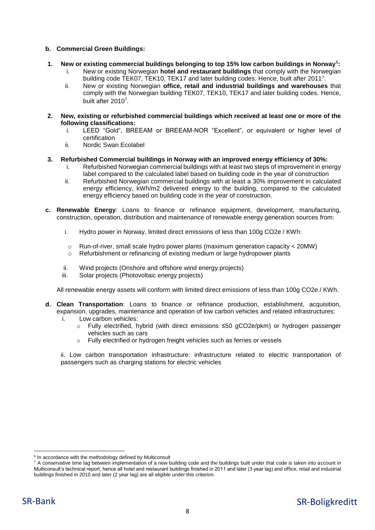#### **b. Commercial Green Buildings:**

- <span id="page-7-0"></span>**1. New or existing commercial buildings belonging to top 15% low carbon buildings in Norway**<sup>6</sup> **:**
	- i. New or existing Norwegian **hotel and restaurant buildings** that comply with the Norwegian building code TEK07, TEK10, TEK17 and later building codes. Hence, built after 2011<sup>7</sup> .
	- ii. New or existing Norwegian **office, retail and industrial buildings and warehouses** that comply with the Norwegian building TEK07, TEK10, TEK17 and later building codes. Hence, built after 2010<sup>[7](#page-7-0)</sup>.
- **2. New, existing or refurbished commercial buildings which received at least one or more of the following classifications:**
	- i. LEED "Gold", BREEAM or BREEAM-NOR "Excellent", or equivalent or higher level of certification
	- ii. Nordic Swan Ecolabel
- **3. Refurbished Commercial buildings in Norway with an improved energy efficiency of 30%:** 
	- i. Refurbished Norwegian commercial buildings with at least two steps of improvement in energy label compared to the calculated label based on building code in the year of construction
	- ii. Refurbished Norwegian commercial buildings with at least a 30% improvement in calculated energy efficiency, kWh/m2 delivered energy to the building, compared to the calculated energy efficiency based on building code in the year of construction.
- **c. Renewable Energy**: Loans to finance or refinance equipment, development, manufacturing, construction, operation, distribution and maintenance of renewable energy generation sources from:
	- i. Hydro power in Norway, limited direct emissions of less than 100g CO2e / KWh:
	- $\circ$  Run-of-river, small scale hydro power plants (maximum generation capacity < 20MW)
	- o Refurbishment or refinancing of existing medium or large hydropower plants
	- ii. Wind projects (Onshore and offshore wind energy projects)
	- iii. Solar projects (Photovoltaic energy projects)

All renewable energy assets will conform with limited direct emissions of less than 100g CO2e / KWh.

- **d. Clean Transportation**: Loans to finance or refinance production, establishment, acquisition, expansion, upgrades, maintenance and operation of low carbon vehicles and related infrastructures:
	- i. Low carbon vehicles:
		- o Fully electrified, hybrid (with direct emissions ≤50 gCO2e/pkm) or hydrogen passenger vehicles such as cars
		- o Fully electrified or hydrogen freight vehicles such as ferries or vessels

ii. Low carbon transportation infrastructure: infrastructure related to electric transportation of passengers such as charging stations for electric vehicles

-

<sup>&</sup>lt;sup>6</sup> In accordance with the methodology defined by Multiconsult

 $7$  A conservative time lag between implementation of a new building code and the buildings built under that code is taken into account in Multiconsult's technical report, hence all hotel and restaurant buildings finished in 2011 and later (3 year lag) and office, retail and industrial buildings finished in 2010 and later (2 year lag) are all eligible under this criterion.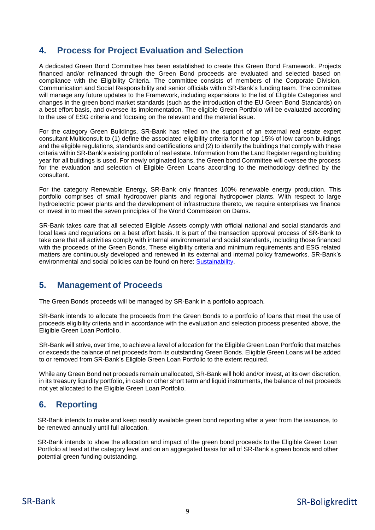# <span id="page-8-0"></span>**4. Process for Project Evaluation and Selection**

A dedicated Green Bond Committee has been established to create this Green Bond Framework. Projects financed and/or refinanced through the Green Bond proceeds are evaluated and selected based on compliance with the Eligibility Criteria. The committee consists of members of the Corporate Division, Communication and Social Responsibility and senior officials within SR-Bank's funding team. The committee will manage any future updates to the Framework, including expansions to the list of Eligible Categories and changes in the green bond market standards (such as the introduction of the EU Green Bond Standards) on a best effort basis, and oversee its implementation. The eligible Green Portfolio will be evaluated according to the use of ESG criteria and focusing on the relevant and the material issue.

For the category Green Buildings, SR-Bank has relied on the support of an external real estate expert consultant Multiconsult to (1) define the associated eligibility criteria for the top 15% of low carbon buildings and the eligible regulations, standards and certifications and (2) to identify the buildings that comply with these criteria within SR-Bank's existing portfolio of real estate. Information from the Land Register regarding building year for all buildings is used. For newly originated loans, the Green bond Committee will oversee the process for the evaluation and selection of Eligible Green Loans according to the methodology defined by the consultant.

For the category Renewable Energy, SR-Bank only finances 100% renewable energy production. This portfolio comprises of small hydropower plants and regional hydropower plants. With respect to large hydroelectric power plants and the development of infrastructure thereto, we require enterprises we finance or invest in to meet the seven principles of the World Commission on Dams.

SR-Bank takes care that all selected Eligible Assets comply with official national and social standards and local laws and regulations on a best effort basis. It is part of the transaction approval process of SR-Bank to take care that all activities comply with internal environmental and social standards, including those financed with the proceeds of the Green Bonds. These eligibility criteria and minimum requirements and ESG related matters are continuously developed and renewed in its external and internal policy frameworks. SR-Bank's environmental and social policies can be found on here: [Sustainability.](https://www.sparebank1.no/en/sr-bank/about-us/Sustainability.html)

# <span id="page-8-1"></span>**5. Management of Proceeds**

The Green Bonds proceeds will be managed by SR-Bank in a portfolio approach.

SR-Bank intends to allocate the proceeds from the Green Bonds to a portfolio of loans that meet the use of proceeds eligibility criteria and in accordance with the evaluation and selection process presented above, the Eligible Green Loan Portfolio.

SR-Bank will strive, over time, to achieve a level of allocation for the Eligible Green Loan Portfolio that matches or exceeds the balance of net proceeds from its outstanding Green Bonds. Eligible Green Loans will be added to or removed from SR-Bank's Eligible Green Loan Portfolio to the extent required.

While any Green Bond net proceeds remain unallocated, SR-Bank will hold and/or invest, at its own discretion, in its treasury liquidity portfolio, in cash or other short term and liquid instruments, the balance of net proceeds not yet allocated to the Eligible Green Loan Portfolio.

# <span id="page-8-2"></span>**6. Reporting**

SR-Bank intends to make and keep readily available green bond reporting after a year from the issuance, to be renewed annually until full allocation.

SR-Bank intends to show the allocation and impact of the green bond proceeds to the Eligible Green Loan Portfolio at least at the category level and on an aggregated basis for all of SR-Bank's green bonds and other potential green funding outstanding.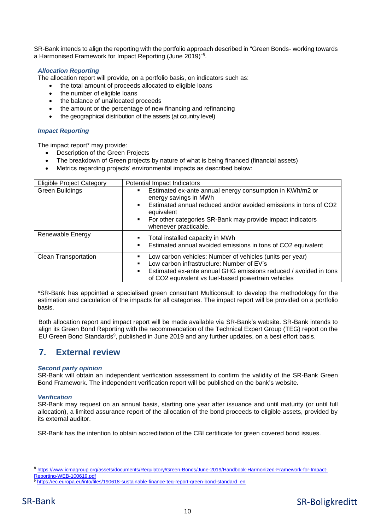SR-Bank intends to align the reporting with the portfolio approach described in "Green Bonds- working towards a Harmonised Framework for Impact Reporting (June 2019)"<sup>8</sup> .

#### *Allocation Reporting*

The allocation report will provide, on a portfolio basis, on indicators such as:

- the total amount of proceeds allocated to eligible loans
- the number of eligible loans
- the balance of unallocated proceeds
- the amount or the percentage of new financing and refinancing
- the geographical distribution of the assets (at country level)

#### *Impact Reporting*

The impact report\* may provide:

- Description of the Green Projects
- The breakdown of Green projects by nature of what is being financed (financial assets)
- Metrics regarding projects' environmental impacts as described below:

| <b>Eligible Project Category</b> | Potential Impact Indicators                                                                                                                                                                                                                                        |
|----------------------------------|--------------------------------------------------------------------------------------------------------------------------------------------------------------------------------------------------------------------------------------------------------------------|
| <b>Green Buildings</b>           | Estimated ex-ante annual energy consumption in KWh/m2 or<br>energy savings in MWh<br>Estimated annual reduced and/or avoided emissions in tons of CO2<br>٠.<br>equivalent<br>• For other categories SR-Bank may provide impact indicators<br>whenever practicable. |
| Renewable Energy                 | Total installed capacity in MWh<br>٠<br>Estimated annual avoided emissions in tons of CO2 equivalent                                                                                                                                                               |
| <b>Clean Transportation</b>      | Low carbon vehicles: Number of vehicles (units per year)<br>Low carbon infrastructure: Number of EV's<br>Estimated ex-ante annual GHG emissions reduced / avoided in tons<br>٠.<br>of CO2 equivalent vs fuel-based powertrain vehicles                             |

\*SR-Bank has appointed a specialised green consultant Multiconsult to develop the methodology for the estimation and calculation of the impacts for all categories. The impact report will be provided on a portfolio basis.

Both allocation report and impact report will be made available via SR-Bank's website. SR-Bank intends to align its Green Bond Reporting with the recommendation of the Technical Expert Group (TEG) report on the EU Green Bond Standards<sup>9</sup>, published in June 2019 and any further updates, on a best effort basis.

### <span id="page-9-0"></span>**7. External review**

#### *Second party opinion*

SR-Bank will obtain an independent verification assessment to confirm the validity of the SR-Bank Green Bond Framework. The independent verification report will be published on the bank's website.

#### *Verification*

SR-Bank may request on an annual basis, starting one year after issuance and until maturity (or until full allocation), a limited assurance report of the allocation of the bond proceeds to eligible assets, provided by its external auditor.

SR-Bank has the intention to obtain accreditation of the CBI certificate for green covered bond issues.

**.** 

<sup>8</sup> https://www.icmagroup.org/assets/documents/Regulatory/Green-Bonds/June-2019/Handbook-Harmonized-Framework-for-Impact-Reporting-WEB-100619.pdf

[https://ec.europa.eu/info/files/190618-sustainable-finance-teg-report-green-bond-standard\\_en](https://ec.europa.eu/info/files/190618-sustainable-finance-teg-report-green-bond-standard_en)